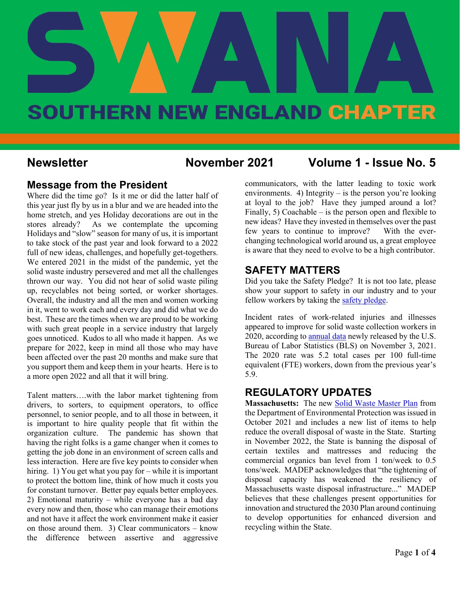

# SOUTHERN NEW ENGLAND CHAPTER

### **Newsletter November 2021 Volume 1 - Issue No. 5**

#### **Message from the President**

Where did the time go? Is it me or did the latter half of this year just fly by us in a blur and we are headed into the home stretch, and yes Holiday decorations are out in the stores already? As we contemplate the upcoming Holidays and "slow" season for many of us, it is important to take stock of the past year and look forward to a 2022 full of new ideas, challenges, and hopefully get-togethers. We entered 2021 in the midst of the pandemic, yet the solid waste industry persevered and met all the challenges thrown our way. You did not hear of solid waste piling up, recyclables not being sorted, or worker shortages. Overall, the industry and all the men and women working in it, went to work each and every day and did what we do best. These are the times when we are proud to be working with such great people in a service industry that largely goes unnoticed. Kudos to all who made it happen. As we prepare for 2022, keep in mind all those who may have been affected over the past 20 months and make sure that you support them and keep them in your hearts. Here is to a more open 2022 and all that it will bring.

Talent matters….with the labor market tightening from drivers, to sorters, to equipment operators, to office personnel, to senior people, and to all those in between, it is important to hire quality people that fit within the organization culture. The pandemic has shown that having the right folks is a game changer when it comes to getting the job done in an environment of screen calls and less interaction. Here are five key points to consider when hiring. 1) You get what you pay for – while it is important to protect the bottom line, think of how much it costs you for constant turnover. Better pay equals better employees. 2) Emotional maturity – while everyone has a bad day every now and then, those who can manage their emotions and not have it affect the work environment make it easier on those around them. 3) Clear communicators – know the difference between assertive and aggressive

communicators, with the latter leading to toxic work environments. 4) Integrity  $-$  is the person you're looking at loyal to the job? Have they jumped around a lot? Finally, 5) Coachable – is the person open and flexible to new ideas? Have they invested in themselves over the past few years to continue to improve? With the everchanging technological world around us, a great employee is aware that they need to evolve to be a high contributor.

#### **SAFETY MATTERS**

Did you take the Safety Pledge? It is not too late, please show your support to safety in our industry and to your fellow workers by taking the [safety pledge.](https://swana.org/initiatives/safety/safety-pledge)

Incident rates of work-related injuries and illnesses appeared to improve for solid waste collection workers in 2020, according t[o annual data](https://www.bls.gov/news.release/pdf/osh.pdf) newly released by the U.S. Bureau of Labor Statistics (BLS) on November 3, 2021. The 2020 rate was 5.2 total cases per 100 full-time equivalent (FTE) workers, down from the previous year's 5.9.

### **REGULATORY UPDATES**

**Massachusetts:** The new [Solid Waste Master Plan](https://www.mass.gov/guides/solid-waste-master-plan) from the Department of Environmental Protection was issued in October 2021 and includes a new list of items to help reduce the overall disposal of waste in the State. Starting in November 2022, the State is banning the disposal of certain textiles and mattresses and reducing the commercial organics ban level from 1 ton/week to 0.5 tons/week. MADEP acknowledges that "the tightening of disposal capacity has weakened the resiliency of Massachusetts waste disposal infrastructure..." MADEP believes that these challenges present opportunities for innovation and structured the 2030 Plan around continuing to develop opportunities for enhanced diversion and recycling within the State.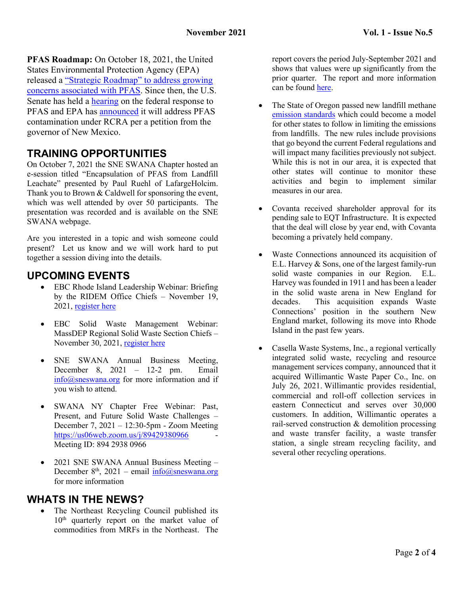**PFAS Roadmap:** On October 18, 2021, the United States Environmental Protection Agency (EPA) released a ["Strategic Roadmap" to address growing](https://www.epa.gov/system/files/documents/2021-10/pfas-roadmap_final-508.pdf)  [concerns associated with PFAS.](https://www.epa.gov/system/files/documents/2021-10/pfas-roadmap_final-508.pdf) Since then, the U.S. Senate has held a [hearing](https://www.epw.senate.gov/public/index.cfm/hearings?ID=A426A1B2-B066-4128-86A1-08578A1FBC34) on the federal response to PFAS and EPA has [announced](https://www.eenews.net/articles/epa-eyes-new-rules-for-pfas-in-waste/) it will address PFAS contamination under RCRA per a petition from the governor of New Mexico.

# **TRAINING OPPORTUNITIES**

On October 7, 2021 the SNE SWANA Chapter hosted an e-session titled "Encapsulation of PFAS from Landfill Leachate" presented by Paul Ruehl of LafargeHolcim. Thank you to Brown & Caldwell for sponsoring the event, which was well attended by over 50 participants. The presentation was recorded and is available on the SNE SWANA webpage.

Are you interested in a topic and wish someone could present? Let us know and we will work hard to put together a session diving into the details.

### **UPCOMING EVENTS**

- EBC Rhode Island Leadership Webinar: Briefing by the RIDEM Office Chiefs – November 19, 2021, [register here](https://ebcne.org/event/ebc-rhode-island-leadership-webinar-briefing-by-the-ridem-office-chiefs/)
- EBC Solid Waste Management Webinar: MassDEP Regional Solid Waste Section Chiefs – November 30, 2021, [register here](https://ebcne.org/event/ebc-solid-waste-management-webinar-massdep-regional-solid-waste-section-chiefs/)
- SNE SWANA Annual Business Meeting, December 8, 2021 – 12-2 pm. Email [info@sneswana.org](mailto:info@sneswana.org) for more information and if you wish to attend.
- SWANA NY Chapter Free Webinar: Past, Present, and Future Solid Waste Challenges – December 7, 2021 – 12:30-5pm - Zoom Meeting <https://us06web.zoom.us/j/89429380966> - Meeting ID: 894 2938 0966
- 2021 SNE SWANA Annual Business Meeting December  $8<sup>th</sup>$ , 2021 – email [info@sneswana.org](mailto:info@sneswana.org) for more information

### **WHATS IN THE NEWS?**

The Northeast Recycling Council published its 10<sup>th</sup> quarterly report on the market value of commodities from MRFs in the Northeast. The

report covers the period July-September 2021 and shows that values were up significantly from the prior quarter. The report and more information can be found [here.](https://nerc.org/)

- The State of Oregon passed new landfill methane [emission standards](https://www.oregon.gov/deq/EQCdocs/100121_I_LandfillMethane.pdf#page=56) which could become a model for other states to follow in limiting the emissions from landfills. The new rules include provisions that go beyond the current Federal regulations and will impact many facilities previously not subject. While this is not in our area, it is expected that other states will continue to monitor these activities and begin to implement similar measures in our area.
- Covanta received shareholder approval for its pending sale to EQT Infrastructure. It is expected that the deal will close by year end, with Covanta becoming a privately held company.
- Waste Connections announced its acquisition of E.L. Harvey & Sons, one of the largest family-run solid waste companies in our Region. E.L. Harvey was founded in 1911 and has been a leader in the solid waste arena in New England for decades. This acquisition expands Waste Connections' position in the southern New England market, following its move into Rhode Island in the past few years.
- Casella Waste Systems, Inc., a regional vertically integrated solid waste, recycling and resource management services company, announced that it acquired Willimantic Waste Paper Co., Inc. on July 26, 2021. Willimantic provides residential, commercial and roll-off collection services in eastern Connecticut and serves over 30,000 customers. In addition, Willimantic operates a rail-served construction & demolition processing and waste transfer facility, a waste transfer station, a single stream recycling facility, and several other recycling operations.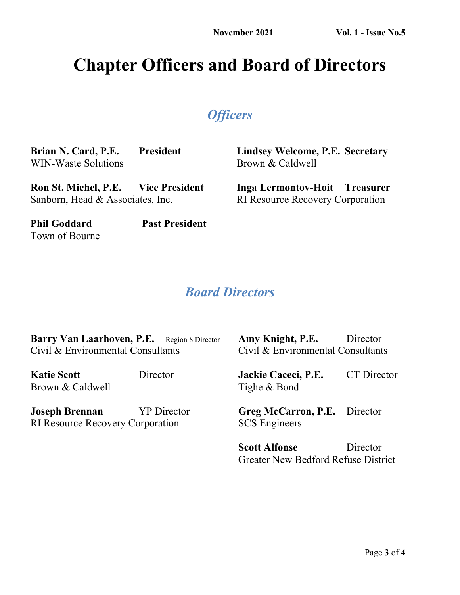# **Chapter Officers and Board of Directors**

# *Officers*

**Brian N. Card, P.E. President** WIN-Waste Solutions

**Lindsey Welcome, P.E. Secretary** Brown & Caldwell

**Ron St. Michel, P.E. Vice President** Sanborn, Head & Associates, Inc.

**Inga Lermontov-Hoit Treasurer**

RI Resource Recovery Corporation

Town of Bourne

**Phil Goddard Past President**

# *Board Directors*

Barry Van Laarhoven, P.E. Region 8 Director Civil & Environmental Consultants

**Katie Scott** Director Brown & Caldwell

**Joseph Brennan** YP Director RI Resource Recovery Corporation

**Amy Knight, P.E.** Director Civil & Environmental Consultants

**Jackie Caceci, P.E.** CT Director Tighe & Bond

**Greg McCarron, P.E.** Director SCS Engineers

**Scott Alfonse** Director Greater New Bedford Refuse District